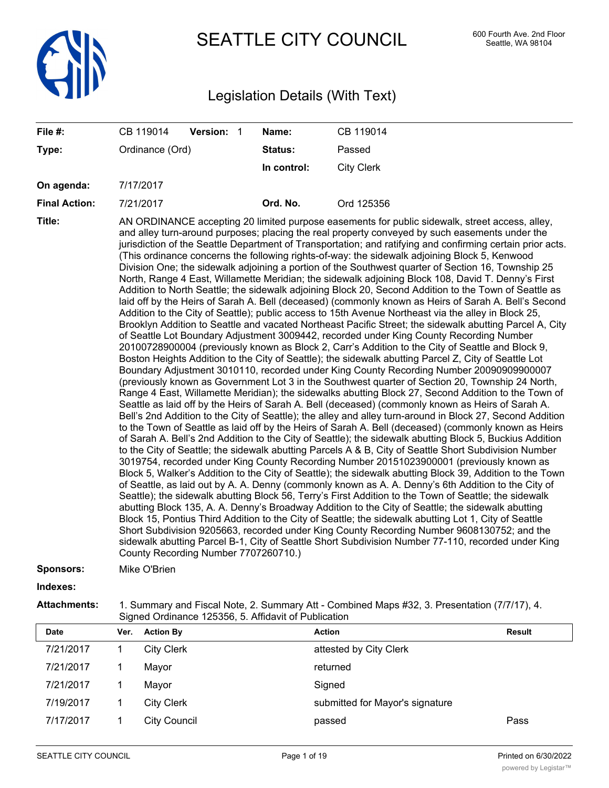

SEATTLE CITY COUNCIL 600 Fourth Ave. 2nd Floor

# Legislation Details (With Text)

| File #:              | CB 119014                            | Version: 1 | Name:       | CB 119014                                                                                                                                                                                                                                                                                                                                                                                                                                                                                                                                                                                                                                                                                                                                                                                                                                                                                                                                                                                                                                                                                                                                                                                                                                                                                                                                                                                                                                                                                                                                                                                                                                                                                                                                                                                                                                                                                                                                                                                                                                                                                                                                                                                                                                                                                                                                                                                                                                                                                                                                                                                                                                                                                                                                                                                                                                                                                                                                                                                                                                                            |
|----------------------|--------------------------------------|------------|-------------|----------------------------------------------------------------------------------------------------------------------------------------------------------------------------------------------------------------------------------------------------------------------------------------------------------------------------------------------------------------------------------------------------------------------------------------------------------------------------------------------------------------------------------------------------------------------------------------------------------------------------------------------------------------------------------------------------------------------------------------------------------------------------------------------------------------------------------------------------------------------------------------------------------------------------------------------------------------------------------------------------------------------------------------------------------------------------------------------------------------------------------------------------------------------------------------------------------------------------------------------------------------------------------------------------------------------------------------------------------------------------------------------------------------------------------------------------------------------------------------------------------------------------------------------------------------------------------------------------------------------------------------------------------------------------------------------------------------------------------------------------------------------------------------------------------------------------------------------------------------------------------------------------------------------------------------------------------------------------------------------------------------------------------------------------------------------------------------------------------------------------------------------------------------------------------------------------------------------------------------------------------------------------------------------------------------------------------------------------------------------------------------------------------------------------------------------------------------------------------------------------------------------------------------------------------------------------------------------------------------------------------------------------------------------------------------------------------------------------------------------------------------------------------------------------------------------------------------------------------------------------------------------------------------------------------------------------------------------------------------------------------------------------------------------------------------------|
| Type:                | Ordinance (Ord)                      |            | Status:     | Passed                                                                                                                                                                                                                                                                                                                                                                                                                                                                                                                                                                                                                                                                                                                                                                                                                                                                                                                                                                                                                                                                                                                                                                                                                                                                                                                                                                                                                                                                                                                                                                                                                                                                                                                                                                                                                                                                                                                                                                                                                                                                                                                                                                                                                                                                                                                                                                                                                                                                                                                                                                                                                                                                                                                                                                                                                                                                                                                                                                                                                                                               |
|                      |                                      |            | In control: | <b>City Clerk</b>                                                                                                                                                                                                                                                                                                                                                                                                                                                                                                                                                                                                                                                                                                                                                                                                                                                                                                                                                                                                                                                                                                                                                                                                                                                                                                                                                                                                                                                                                                                                                                                                                                                                                                                                                                                                                                                                                                                                                                                                                                                                                                                                                                                                                                                                                                                                                                                                                                                                                                                                                                                                                                                                                                                                                                                                                                                                                                                                                                                                                                                    |
| On agenda:           | 7/17/2017                            |            |             |                                                                                                                                                                                                                                                                                                                                                                                                                                                                                                                                                                                                                                                                                                                                                                                                                                                                                                                                                                                                                                                                                                                                                                                                                                                                                                                                                                                                                                                                                                                                                                                                                                                                                                                                                                                                                                                                                                                                                                                                                                                                                                                                                                                                                                                                                                                                                                                                                                                                                                                                                                                                                                                                                                                                                                                                                                                                                                                                                                                                                                                                      |
| <b>Final Action:</b> | 7/21/2017                            |            | Ord. No.    | Ord 125356                                                                                                                                                                                                                                                                                                                                                                                                                                                                                                                                                                                                                                                                                                                                                                                                                                                                                                                                                                                                                                                                                                                                                                                                                                                                                                                                                                                                                                                                                                                                                                                                                                                                                                                                                                                                                                                                                                                                                                                                                                                                                                                                                                                                                                                                                                                                                                                                                                                                                                                                                                                                                                                                                                                                                                                                                                                                                                                                                                                                                                                           |
| Title:               | County Recording Number 7707260710.) |            |             | AN ORDINANCE accepting 20 limited purpose easements for public sidewalk, street access, alley,<br>and alley turn-around purposes; placing the real property conveyed by such easements under the<br>jurisdiction of the Seattle Department of Transportation; and ratifying and confirming certain prior acts.<br>(This ordinance concerns the following rights-of-way: the sidewalk adjoining Block 5, Kenwood<br>Division One; the sidewalk adjoining a portion of the Southwest quarter of Section 16, Township 25<br>North, Range 4 East, Willamette Meridian; the sidewalk adjoining Block 108, David T. Denny's First<br>Addition to North Seattle; the sidewalk adjoining Block 20, Second Addition to the Town of Seattle as<br>laid off by the Heirs of Sarah A. Bell (deceased) (commonly known as Heirs of Sarah A. Bell's Second<br>Addition to the City of Seattle); public access to 15th Avenue Northeast via the alley in Block 25,<br>Brooklyn Addition to Seattle and vacated Northeast Pacific Street; the sidewalk abutting Parcel A, City<br>of Seattle Lot Boundary Adjustment 3009442, recorded under King County Recording Number<br>20100728900004 (previously known as Block 2, Carr's Addition to the City of Seattle and Block 9,<br>Boston Heights Addition to the City of Seattle); the sidewalk abutting Parcel Z, City of Seattle Lot<br>Boundary Adjustment 3010110, recorded under King County Recording Number 20090909900007<br>(previously known as Government Lot 3 in the Southwest quarter of Section 20, Township 24 North,<br>Range 4 East, Willamette Meridian); the sidewalks abutting Block 27, Second Addition to the Town of<br>Seattle as laid off by the Heirs of Sarah A. Bell (deceased) (commonly known as Heirs of Sarah A.<br>Bell's 2nd Addition to the City of Seattle); the alley and alley turn-around in Block 27, Second Addition<br>to the Town of Seattle as laid off by the Heirs of Sarah A. Bell (deceased) (commonly known as Heirs<br>of Sarah A. Bell's 2nd Addition to the City of Seattle); the sidewalk abutting Block 5, Buckius Addition<br>to the City of Seattle; the sidewalk abutting Parcels A & B, City of Seattle Short Subdivision Number<br>3019754, recorded under King County Recording Number 20151023900001 (previously known as<br>Block 5, Walker's Addition to the City of Seattle); the sidewalk abutting Block 39, Addition to the Town<br>of Seattle, as laid out by A. A. Denny (commonly known as A. A. Denny's 6th Addition to the City of<br>Seattle); the sidewalk abutting Block 56, Terry's First Addition to the Town of Seattle; the sidewalk<br>abutting Block 135, A. A. Denny's Broadway Addition to the City of Seattle; the sidewalk abutting<br>Block 15, Pontius Third Addition to the City of Seattle; the sidewalk abutting Lot 1, City of Seattle<br>Short Subdivision 9205663, recorded under King County Recording Number 9608130752; and the<br>sidewalk abutting Parcel B-1, City of Seattle Short Subdivision Number 77-110, recorded under King |
| <b>Sponsors:</b>     | Mike O'Brien                         |            |             |                                                                                                                                                                                                                                                                                                                                                                                                                                                                                                                                                                                                                                                                                                                                                                                                                                                                                                                                                                                                                                                                                                                                                                                                                                                                                                                                                                                                                                                                                                                                                                                                                                                                                                                                                                                                                                                                                                                                                                                                                                                                                                                                                                                                                                                                                                                                                                                                                                                                                                                                                                                                                                                                                                                                                                                                                                                                                                                                                                                                                                                                      |
| Indexes:             |                                      |            |             |                                                                                                                                                                                                                                                                                                                                                                                                                                                                                                                                                                                                                                                                                                                                                                                                                                                                                                                                                                                                                                                                                                                                                                                                                                                                                                                                                                                                                                                                                                                                                                                                                                                                                                                                                                                                                                                                                                                                                                                                                                                                                                                                                                                                                                                                                                                                                                                                                                                                                                                                                                                                                                                                                                                                                                                                                                                                                                                                                                                                                                                                      |
| <b>Attachments:</b>  |                                      |            |             | 1. Summary and Fiscal Note, 2. Summary Att - Combined Maps #32, 3. Presentation (7/7/17), 4.                                                                                                                                                                                                                                                                                                                                                                                                                                                                                                                                                                                                                                                                                                                                                                                                                                                                                                                                                                                                                                                                                                                                                                                                                                                                                                                                                                                                                                                                                                                                                                                                                                                                                                                                                                                                                                                                                                                                                                                                                                                                                                                                                                                                                                                                                                                                                                                                                                                                                                                                                                                                                                                                                                                                                                                                                                                                                                                                                                         |

| Ver. |                     | Action                                                                       | <b>Result</b> |
|------|---------------------|------------------------------------------------------------------------------|---------------|
|      |                     | attested by City Clerk                                                       |               |
|      |                     | returned                                                                     |               |
|      |                     | Signed                                                                       |               |
|      |                     | submitted for Mayor's signature                                              |               |
|      | <b>City Council</b> | passed                                                                       | Pass          |
|      |                     | <b>Action By</b><br><b>City Clerk</b><br>Mayor<br>Mayor<br><b>City Clerk</b> |               |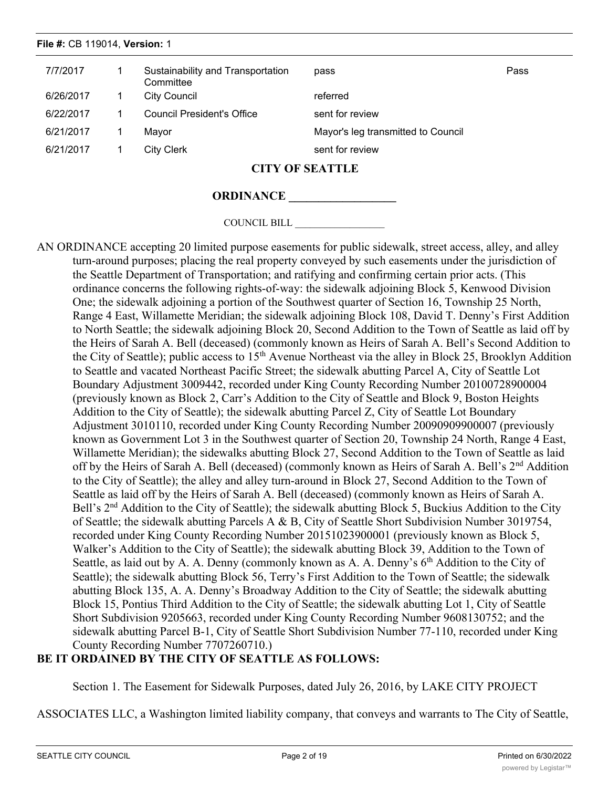# 7/7/2017 1 Sustainability and Transportation pass and the control of the Pass **Committee** 6/26/2017 1 City Council referred 6/22/2017 1 Council President's Office sent for review 6/21/2017 1 Mayor Mayor's leg transmitted to Council 6/21/2017 1 City Clerk sent for review **File #:** CB 119014, **Version:** 1

# **CITY OF SEATTLE**

## **ORDINANCE \_\_\_\_\_\_\_\_\_\_\_\_\_\_\_\_\_\_**

COUNCIL BILL \_\_\_\_\_\_\_\_\_\_\_\_\_\_\_\_\_\_

AN ORDINANCE accepting 20 limited purpose easements for public sidewalk, street access, alley, and alley turn-around purposes; placing the real property conveyed by such easements under the jurisdiction of the Seattle Department of Transportation; and ratifying and confirming certain prior acts. (This ordinance concerns the following rights-of-way: the sidewalk adjoining Block 5, Kenwood Division One; the sidewalk adjoining a portion of the Southwest quarter of Section 16, Township 25 North, Range 4 East, Willamette Meridian; the sidewalk adjoining Block 108, David T. Denny's First Addition to North Seattle; the sidewalk adjoining Block 20, Second Addition to the Town of Seattle as laid off by the Heirs of Sarah A. Bell (deceased) (commonly known as Heirs of Sarah A. Bell's Second Addition to the City of Seattle); public access to 15<sup>th</sup> Avenue Northeast via the alley in Block 25, Brooklyn Addition to Seattle and vacated Northeast Pacific Street; the sidewalk abutting Parcel A, City of Seattle Lot Boundary Adjustment 3009442, recorded under King County Recording Number 20100728900004 (previously known as Block 2, Carr's Addition to the City of Seattle and Block 9, Boston Heights Addition to the City of Seattle); the sidewalk abutting Parcel Z, City of Seattle Lot Boundary Adjustment 3010110, recorded under King County Recording Number 20090909900007 (previously known as Government Lot 3 in the Southwest quarter of Section 20, Township 24 North, Range 4 East, Willamette Meridian); the sidewalks abutting Block 27, Second Addition to the Town of Seattle as laid off by the Heirs of Sarah A. Bell (deceased) (commonly known as Heirs of Sarah A. Bell's 2<sup>nd</sup> Addition to the City of Seattle); the alley and alley turn-around in Block 27, Second Addition to the Town of Seattle as laid off by the Heirs of Sarah A. Bell (deceased) (commonly known as Heirs of Sarah A. Bell's 2<sup>nd</sup> Addition to the City of Seattle); the sidewalk abutting Block 5, Buckius Addition to the City of Seattle; the sidewalk abutting Parcels A & B, City of Seattle Short Subdivision Number 3019754, recorded under King County Recording Number 20151023900001 (previously known as Block 5, Walker's Addition to the City of Seattle); the sidewalk abutting Block 39, Addition to the Town of Seattle, as laid out by A. A. Denny (commonly known as A. A. Denny's  $6<sup>th</sup>$  Addition to the City of Seattle); the sidewalk abutting Block 56, Terry's First Addition to the Town of Seattle; the sidewalk abutting Block 135, A. A. Denny's Broadway Addition to the City of Seattle; the sidewalk abutting Block 15, Pontius Third Addition to the City of Seattle; the sidewalk abutting Lot 1, City of Seattle Short Subdivision 9205663, recorded under King County Recording Number 9608130752; and the sidewalk abutting Parcel B-1, City of Seattle Short Subdivision Number 77-110, recorded under King County Recording Number 7707260710.)

# **BE IT ORDAINED BY THE CITY OF SEATTLE AS FOLLOWS:**

Section 1. The Easement for Sidewalk Purposes, dated July 26, 2016, by LAKE CITY PROJECT

ASSOCIATES LLC, a Washington limited liability company, that conveys and warrants to The City of Seattle,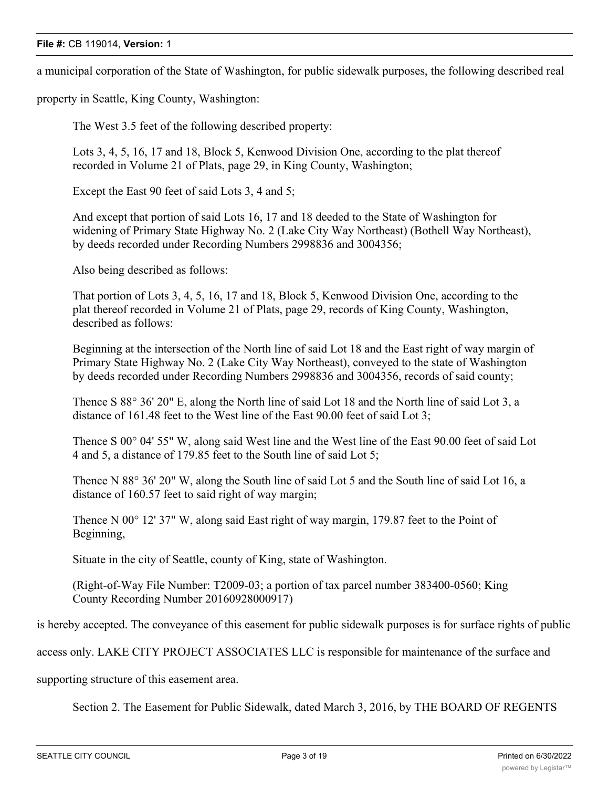a municipal corporation of the State of Washington, for public sidewalk purposes, the following described real

property in Seattle, King County, Washington:

The West 3.5 feet of the following described property:

Lots 3, 4, 5, 16, 17 and 18, Block 5, Kenwood Division One, according to the plat thereof recorded in Volume 21 of Plats, page 29, in King County, Washington;

Except the East 90 feet of said Lots 3, 4 and 5;

And except that portion of said Lots 16, 17 and 18 deeded to the State of Washington for widening of Primary State Highway No. 2 (Lake City Way Northeast) (Bothell Way Northeast), by deeds recorded under Recording Numbers 2998836 and 3004356;

Also being described as follows:

That portion of Lots 3, 4, 5, 16, 17 and 18, Block 5, Kenwood Division One, according to the plat thereof recorded in Volume 21 of Plats, page 29, records of King County, Washington, described as follows:

Beginning at the intersection of the North line of said Lot 18 and the East right of way margin of Primary State Highway No. 2 (Lake City Way Northeast), conveyed to the state of Washington by deeds recorded under Recording Numbers 2998836 and 3004356, records of said county;

Thence S 88° 36' 20" E, along the North line of said Lot 18 and the North line of said Lot 3, a distance of 161.48 feet to the West line of the East 90.00 feet of said Lot 3;

Thence S 00° 04' 55" W, along said West line and the West line of the East 90.00 feet of said Lot 4 and 5, a distance of 179.85 feet to the South line of said Lot 5;

Thence N 88° 36' 20" W, along the South line of said Lot 5 and the South line of said Lot 16, a distance of 160.57 feet to said right of way margin;

Thence N 00° 12' 37" W, along said East right of way margin, 179.87 feet to the Point of Beginning,

Situate in the city of Seattle, county of King, state of Washington.

(Right-of-Way File Number: T2009-03; a portion of tax parcel number 383400-0560; King County Recording Number 20160928000917)

is hereby accepted. The conveyance of this easement for public sidewalk purposes is for surface rights of public

access only. LAKE CITY PROJECT ASSOCIATES LLC is responsible for maintenance of the surface and

supporting structure of this easement area.

Section 2. The Easement for Public Sidewalk, dated March 3, 2016, by THE BOARD OF REGENTS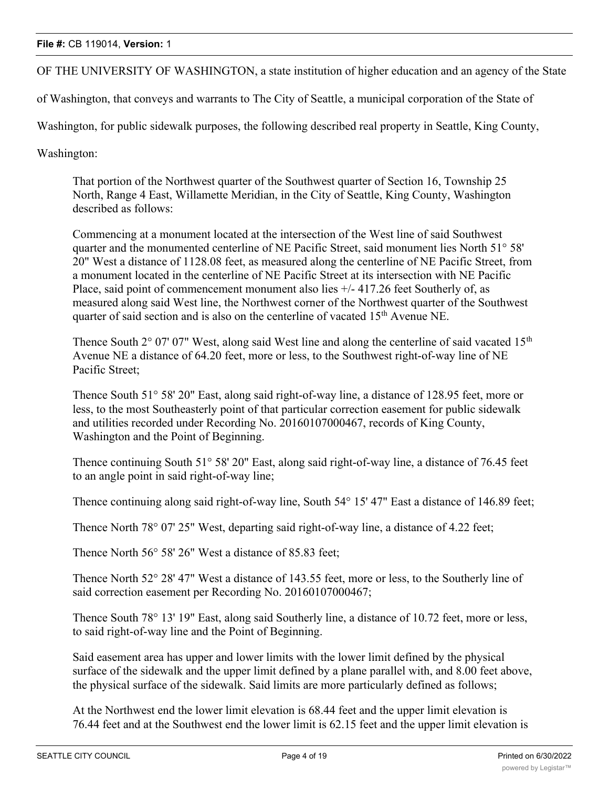OF THE UNIVERSITY OF WASHINGTON, a state institution of higher education and an agency of the State

of Washington, that conveys and warrants to The City of Seattle, a municipal corporation of the State of

Washington, for public sidewalk purposes, the following described real property in Seattle, King County,

Washington:

That portion of the Northwest quarter of the Southwest quarter of Section 16, Township 25 North, Range 4 East, Willamette Meridian, in the City of Seattle, King County, Washington described as follows:

Commencing at a monument located at the intersection of the West line of said Southwest quarter and the monumented centerline of NE Pacific Street, said monument lies North 51° 58' 20" West a distance of 1128.08 feet, as measured along the centerline of NE Pacific Street, from a monument located in the centerline of NE Pacific Street at its intersection with NE Pacific Place, said point of commencement monument also lies  $+/- 417.26$  feet Southerly of, as measured along said West line, the Northwest corner of the Northwest quarter of the Southwest quarter of said section and is also on the centerline of vacated  $15<sup>th</sup>$  Avenue NE.

Thence South  $2^{\circ}$  07' 07" West, along said West line and along the centerline of said vacated 15<sup>th</sup> Avenue NE a distance of 64.20 feet, more or less, to the Southwest right-of-way line of NE Pacific Street;

Thence South 51° 58' 20" East, along said right-of-way line, a distance of 128.95 feet, more or less, to the most Southeasterly point of that particular correction easement for public sidewalk and utilities recorded under Recording No. 20160107000467, records of King County, Washington and the Point of Beginning.

Thence continuing South 51° 58' 20" East, along said right-of-way line, a distance of 76.45 feet to an angle point in said right-of-way line;

Thence continuing along said right-of-way line, South 54° 15' 47" East a distance of 146.89 feet;

Thence North 78° 07' 25" West, departing said right-of-way line, a distance of 4.22 feet;

Thence North 56° 58' 26" West a distance of 85.83 feet;

Thence North 52° 28' 47" West a distance of 143.55 feet, more or less, to the Southerly line of said correction easement per Recording No. 20160107000467;

Thence South 78° 13' 19" East, along said Southerly line, a distance of 10.72 feet, more or less, to said right-of-way line and the Point of Beginning.

Said easement area has upper and lower limits with the lower limit defined by the physical surface of the sidewalk and the upper limit defined by a plane parallel with, and 8.00 feet above, the physical surface of the sidewalk. Said limits are more particularly defined as follows;

At the Northwest end the lower limit elevation is 68.44 feet and the upper limit elevation is 76.44 feet and at the Southwest end the lower limit is 62.15 feet and the upper limit elevation is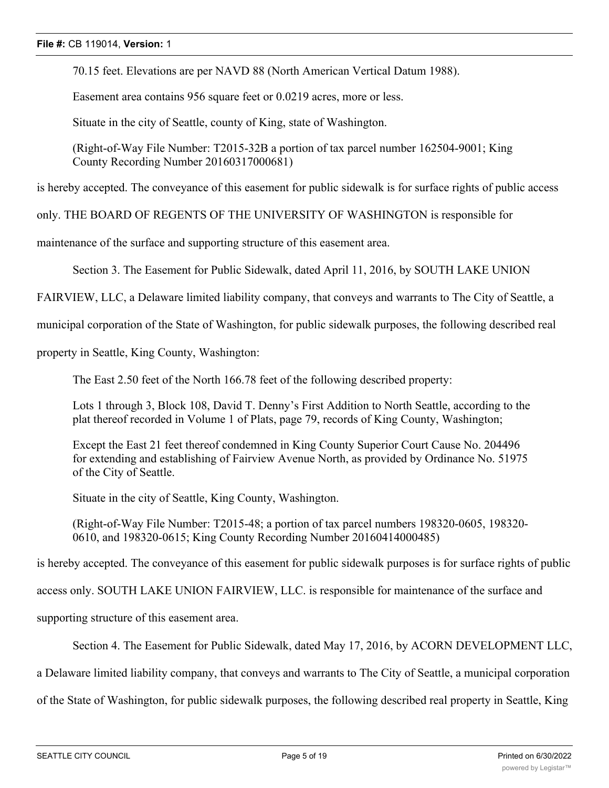70.15 feet. Elevations are per NAVD 88 (North American Vertical Datum 1988).

Easement area contains 956 square feet or 0.0219 acres, more or less.

Situate in the city of Seattle, county of King, state of Washington.

(Right-of-Way File Number: T2015-32B a portion of tax parcel number 162504-9001; King County Recording Number 20160317000681)

is hereby accepted. The conveyance of this easement for public sidewalk is for surface rights of public access

only. THE BOARD OF REGENTS OF THE UNIVERSITY OF WASHINGTON is responsible for

maintenance of the surface and supporting structure of this easement area.

Section 3. The Easement for Public Sidewalk, dated April 11, 2016, by SOUTH LAKE UNION

FAIRVIEW, LLC, a Delaware limited liability company, that conveys and warrants to The City of Seattle, a

municipal corporation of the State of Washington, for public sidewalk purposes, the following described real

property in Seattle, King County, Washington:

The East 2.50 feet of the North 166.78 feet of the following described property:

Lots 1 through 3, Block 108, David T. Denny's First Addition to North Seattle, according to the plat thereof recorded in Volume 1 of Plats, page 79, records of King County, Washington;

Except the East 21 feet thereof condemned in King County Superior Court Cause No. 204496 for extending and establishing of Fairview Avenue North, as provided by Ordinance No. 51975 of the City of Seattle.

Situate in the city of Seattle, King County, Washington.

(Right-of-Way File Number: T2015-48; a portion of tax parcel numbers 198320-0605, 198320- 0610, and 198320-0615; King County Recording Number 20160414000485)

is hereby accepted. The conveyance of this easement for public sidewalk purposes is for surface rights of public

access only. SOUTH LAKE UNION FAIRVIEW, LLC. is responsible for maintenance of the surface and

supporting structure of this easement area.

Section 4. The Easement for Public Sidewalk, dated May 17, 2016, by ACORN DEVELOPMENT LLC,

a Delaware limited liability company, that conveys and warrants to The City of Seattle, a municipal corporation

of the State of Washington, for public sidewalk purposes, the following described real property in Seattle, King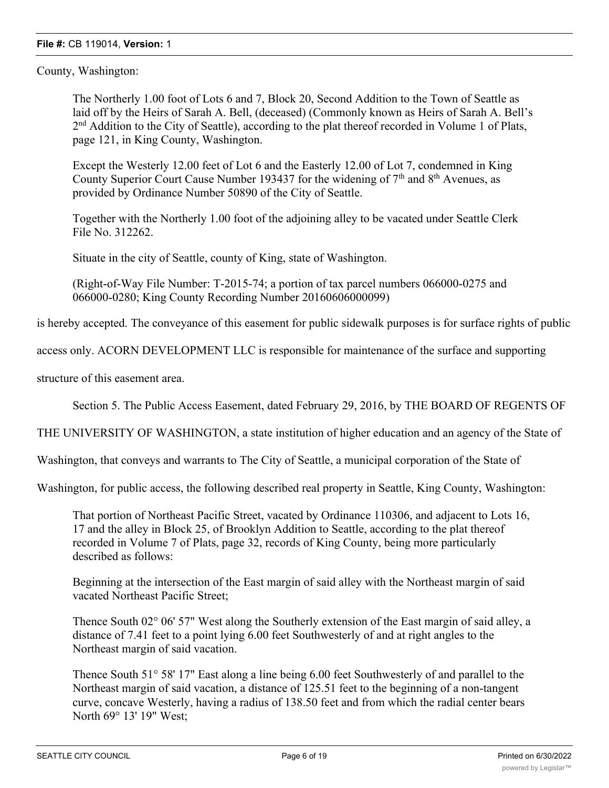County, Washington:

The Northerly 1.00 foot of Lots 6 and 7, Block 20, Second Addition to the Town of Seattle as laid off by the Heirs of Sarah A. Bell, (deceased) (Commonly known as Heirs of Sarah A. Bell's 2<sup>nd</sup> Addition to the City of Seattle), according to the plat thereof recorded in Volume 1 of Plats, page 121, in King County, Washington.

Except the Westerly 12.00 feet of Lot 6 and the Easterly 12.00 of Lot 7, condemned in King County Superior Court Cause Number 193437 for the widening of  $7<sup>th</sup>$  and  $8<sup>th</sup>$  Avenues, as provided by Ordinance Number 50890 of the City of Seattle.

Together with the Northerly 1.00 foot of the adjoining alley to be vacated under Seattle Clerk File No. 312262.

Situate in the city of Seattle, county of King, state of Washington.

(Right-of-Way File Number: T-2015-74; a portion of tax parcel numbers 066000-0275 and 066000-0280; King County Recording Number 20160606000099)

is hereby accepted. The conveyance of this easement for public sidewalk purposes is for surface rights of public

access only. ACORN DEVELOPMENT LLC is responsible for maintenance of the surface and supporting

structure of this easement area.

Section 5. The Public Access Easement, dated February 29, 2016, by THE BOARD OF REGENTS OF

THE UNIVERSITY OF WASHINGTON, a state institution of higher education and an agency of the State of

Washington, that conveys and warrants to The City of Seattle, a municipal corporation of the State of

Washington, for public access, the following described real property in Seattle, King County, Washington:

That portion of Northeast Pacific Street, vacated by Ordinance 110306, and adjacent to Lots 16, 17 and the alley in Block 25, of Brooklyn Addition to Seattle, according to the plat thereof recorded in Volume 7 of Plats, page 32, records of King County, being more particularly described as follows:

Beginning at the intersection of the East margin of said alley with the Northeast margin of said vacated Northeast Pacific Street;

Thence South 02° 06' 57" West along the Southerly extension of the East margin of said alley, a distance of 7.41 feet to a point lying 6.00 feet Southwesterly of and at right angles to the Northeast margin of said vacation.

Thence South 51° 58' 17" East along a line being 6.00 feet Southwesterly of and parallel to the Northeast margin of said vacation, a distance of 125.51 feet to the beginning of a non-tangent curve, concave Westerly, having a radius of 138.50 feet and from which the radial center bears North 69° 13' 19" West;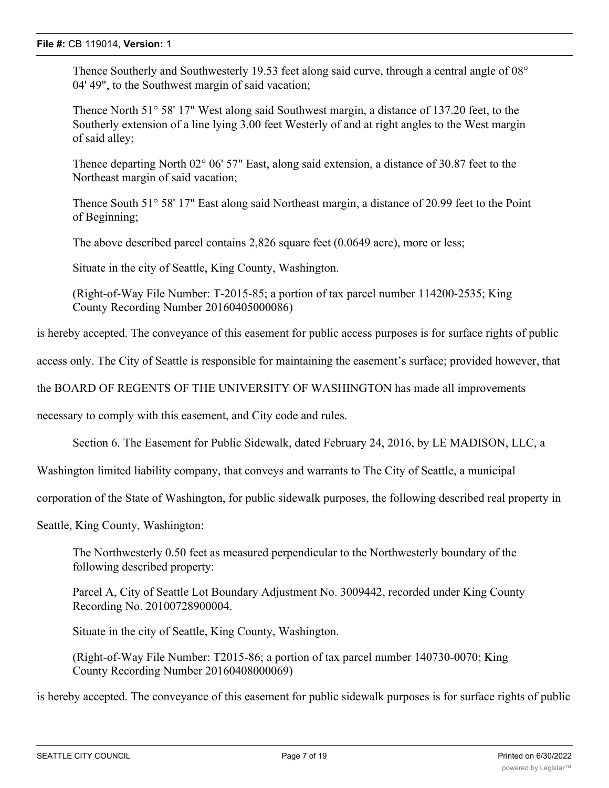Thence Southerly and Southwesterly 19.53 feet along said curve, through a central angle of 08° 04' 49", to the Southwest margin of said vacation;

Thence North 51° 58' 17" West along said Southwest margin, a distance of 137.20 feet, to the Southerly extension of a line lying 3.00 feet Westerly of and at right angles to the West margin of said alley;

Thence departing North 02° 06' 57" East, along said extension, a distance of 30.87 feet to the Northeast margin of said vacation;

Thence South 51° 58' 17" East along said Northeast margin, a distance of 20.99 feet to the Point of Beginning;

The above described parcel contains 2,826 square feet (0.0649 acre), more or less;

Situate in the city of Seattle, King County, Washington.

(Right-of-Way File Number: T-2015-85; a portion of tax parcel number 114200-2535; King County Recording Number 20160405000086)

is hereby accepted. The conveyance of this easement for public access purposes is for surface rights of public

access only. The City of Seattle is responsible for maintaining the easement's surface; provided however, that

the BOARD OF REGENTS OF THE UNIVERSITY OF WASHINGTON has made all improvements

necessary to comply with this easement, and City code and rules.

Section 6. The Easement for Public Sidewalk, dated February 24, 2016, by LE MADISON, LLC, a

Washington limited liability company, that conveys and warrants to The City of Seattle, a municipal

corporation of the State of Washington, for public sidewalk purposes, the following described real property in

Seattle, King County, Washington:

The Northwesterly 0.50 feet as measured perpendicular to the Northwesterly boundary of the following described property:

Parcel A, City of Seattle Lot Boundary Adjustment No. 3009442, recorded under King County Recording No. 20100728900004.

Situate in the city of Seattle, King County, Washington.

(Right-of-Way File Number: T2015-86; a portion of tax parcel number 140730-0070; King County Recording Number 20160408000069)

is hereby accepted. The conveyance of this easement for public sidewalk purposes is for surface rights of public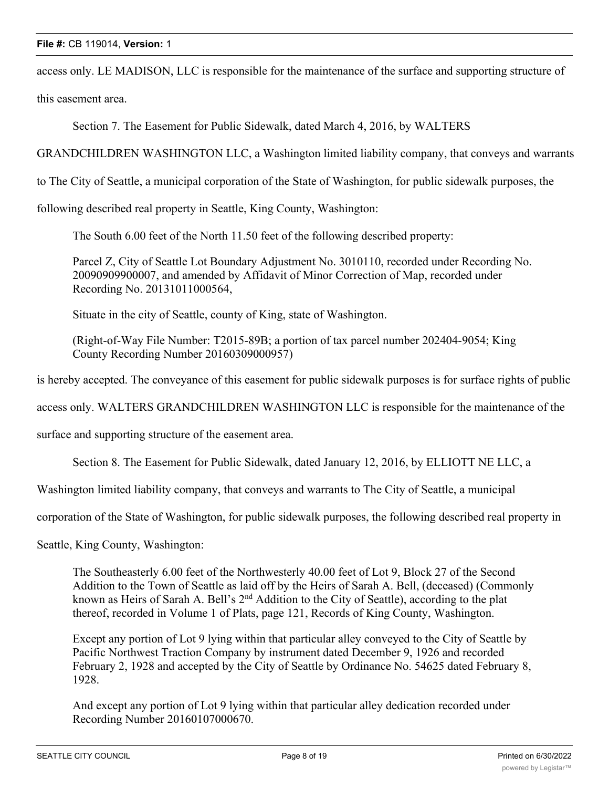access only. LE MADISON, LLC is responsible for the maintenance of the surface and supporting structure of

this easement area.

Section 7. The Easement for Public Sidewalk, dated March 4, 2016, by WALTERS

GRANDCHILDREN WASHINGTON LLC, a Washington limited liability company, that conveys and warrants

to The City of Seattle, a municipal corporation of the State of Washington, for public sidewalk purposes, the

following described real property in Seattle, King County, Washington:

The South 6.00 feet of the North 11.50 feet of the following described property:

Parcel Z, City of Seattle Lot Boundary Adjustment No. 3010110, recorded under Recording No. 20090909900007, and amended by Affidavit of Minor Correction of Map, recorded under Recording No. 20131011000564,

Situate in the city of Seattle, county of King, state of Washington.

(Right-of-Way File Number: T2015-89B; a portion of tax parcel number 202404-9054; King County Recording Number 20160309000957)

is hereby accepted. The conveyance of this easement for public sidewalk purposes is for surface rights of public

access only. WALTERS GRANDCHILDREN WASHINGTON LLC is responsible for the maintenance of the

surface and supporting structure of the easement area.

Section 8. The Easement for Public Sidewalk, dated January 12, 2016, by ELLIOTT NE LLC, a

Washington limited liability company, that conveys and warrants to The City of Seattle, a municipal

corporation of the State of Washington, for public sidewalk purposes, the following described real property in

Seattle, King County, Washington:

The Southeasterly 6.00 feet of the Northwesterly 40.00 feet of Lot 9, Block 27 of the Second Addition to the Town of Seattle as laid off by the Heirs of Sarah A. Bell, (deceased) (Commonly known as Heirs of Sarah A. Bell's 2<sup>nd</sup> Addition to the City of Seattle), according to the plat thereof, recorded in Volume 1 of Plats, page 121, Records of King County, Washington.

Except any portion of Lot 9 lying within that particular alley conveyed to the City of Seattle by Pacific Northwest Traction Company by instrument dated December 9, 1926 and recorded February 2, 1928 and accepted by the City of Seattle by Ordinance No. 54625 dated February 8, 1928.

And except any portion of Lot 9 lying within that particular alley dedication recorded under Recording Number 20160107000670.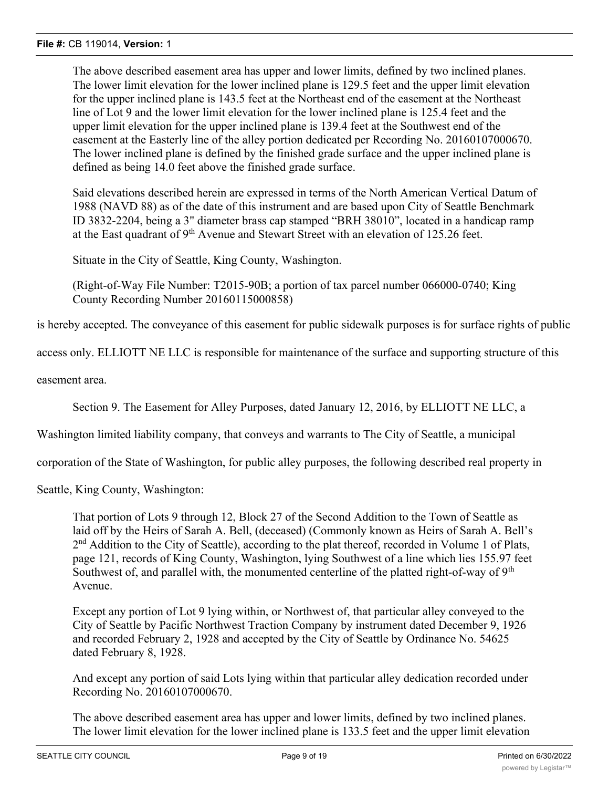The above described easement area has upper and lower limits, defined by two inclined planes. The lower limit elevation for the lower inclined plane is 129.5 feet and the upper limit elevation for the upper inclined plane is 143.5 feet at the Northeast end of the easement at the Northeast line of Lot 9 and the lower limit elevation for the lower inclined plane is 125.4 feet and the upper limit elevation for the upper inclined plane is 139.4 feet at the Southwest end of the easement at the Easterly line of the alley portion dedicated per Recording No. 20160107000670. The lower inclined plane is defined by the finished grade surface and the upper inclined plane is defined as being 14.0 feet above the finished grade surface.

Said elevations described herein are expressed in terms of the North American Vertical Datum of 1988 (NAVD 88) as of the date of this instrument and are based upon City of Seattle Benchmark ID 3832-2204, being a 3" diameter brass cap stamped "BRH 38010", located in a handicap ramp at the East quadrant of  $9<sup>th</sup>$  Avenue and Stewart Street with an elevation of 125.26 feet.

Situate in the City of Seattle, King County, Washington.

(Right-of-Way File Number: T2015-90B; a portion of tax parcel number 066000-0740; King County Recording Number 20160115000858)

is hereby accepted. The conveyance of this easement for public sidewalk purposes is for surface rights of public

access only. ELLIOTT NE LLC is responsible for maintenance of the surface and supporting structure of this

easement area.

Section 9. The Easement for Alley Purposes, dated January 12, 2016, by ELLIOTT NE LLC, a

Washington limited liability company, that conveys and warrants to The City of Seattle, a municipal

corporation of the State of Washington, for public alley purposes, the following described real property in

Seattle, King County, Washington:

That portion of Lots 9 through 12, Block 27 of the Second Addition to the Town of Seattle as laid off by the Heirs of Sarah A. Bell, (deceased) (Commonly known as Heirs of Sarah A. Bell's 2<sup>nd</sup> Addition to the City of Seattle), according to the plat thereof, recorded in Volume 1 of Plats, page 121, records of King County, Washington, lying Southwest of a line which lies 155.97 feet Southwest of, and parallel with, the monumented centerline of the platted right-of-way of  $9<sup>th</sup>$ Avenue.

Except any portion of Lot 9 lying within, or Northwest of, that particular alley conveyed to the City of Seattle by Pacific Northwest Traction Company by instrument dated December 9, 1926 and recorded February 2, 1928 and accepted by the City of Seattle by Ordinance No. 54625 dated February 8, 1928.

And except any portion of said Lots lying within that particular alley dedication recorded under Recording No. 20160107000670.

The above described easement area has upper and lower limits, defined by two inclined planes. The lower limit elevation for the lower inclined plane is 133.5 feet and the upper limit elevation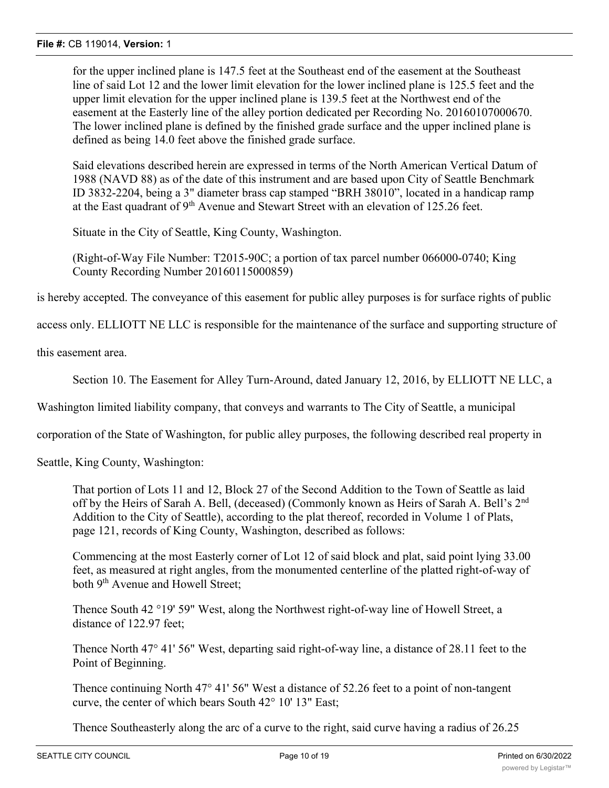for the upper inclined plane is 147.5 feet at the Southeast end of the easement at the Southeast line of said Lot 12 and the lower limit elevation for the lower inclined plane is 125.5 feet and the upper limit elevation for the upper inclined plane is 139.5 feet at the Northwest end of the easement at the Easterly line of the alley portion dedicated per Recording No. 20160107000670. The lower inclined plane is defined by the finished grade surface and the upper inclined plane is defined as being 14.0 feet above the finished grade surface.

Said elevations described herein are expressed in terms of the North American Vertical Datum of 1988 (NAVD 88) as of the date of this instrument and are based upon City of Seattle Benchmark ID 3832-2204, being a 3" diameter brass cap stamped "BRH 38010", located in a handicap ramp at the East quadrant of  $9<sup>th</sup>$  Avenue and Stewart Street with an elevation of 125.26 feet.

Situate in the City of Seattle, King County, Washington.

(Right-of-Way File Number: T2015-90C; a portion of tax parcel number 066000-0740; King County Recording Number 20160115000859)

is hereby accepted. The conveyance of this easement for public alley purposes is for surface rights of public

access only. ELLIOTT NE LLC is responsible for the maintenance of the surface and supporting structure of

this easement area.

Section 10. The Easement for Alley Turn-Around, dated January 12, 2016, by ELLIOTT NE LLC, a

Washington limited liability company, that conveys and warrants to The City of Seattle, a municipal

corporation of the State of Washington, for public alley purposes, the following described real property in

Seattle, King County, Washington:

That portion of Lots 11 and 12, Block 27 of the Second Addition to the Town of Seattle as laid off by the Heirs of Sarah A. Bell, (deceased) (Commonly known as Heirs of Sarah A. Bell's 2<sup>nd</sup> Addition to the City of Seattle), according to the plat thereof, recorded in Volume 1 of Plats, page 121, records of King County, Washington, described as follows:

Commencing at the most Easterly corner of Lot 12 of said block and plat, said point lying 33.00 feet, as measured at right angles, from the monumented centerline of the platted right-of-way of both 9<sup>th</sup> Avenue and Howell Street:

Thence South 42 °19' 59" West, along the Northwest right-of-way line of Howell Street, a distance of 122.97 feet;

Thence North 47° 41' 56" West, departing said right-of-way line, a distance of 28.11 feet to the Point of Beginning.

Thence continuing North 47° 41' 56" West a distance of 52.26 feet to a point of non-tangent curve, the center of which bears South 42° 10' 13" East;

Thence Southeasterly along the arc of a curve to the right, said curve having a radius of 26.25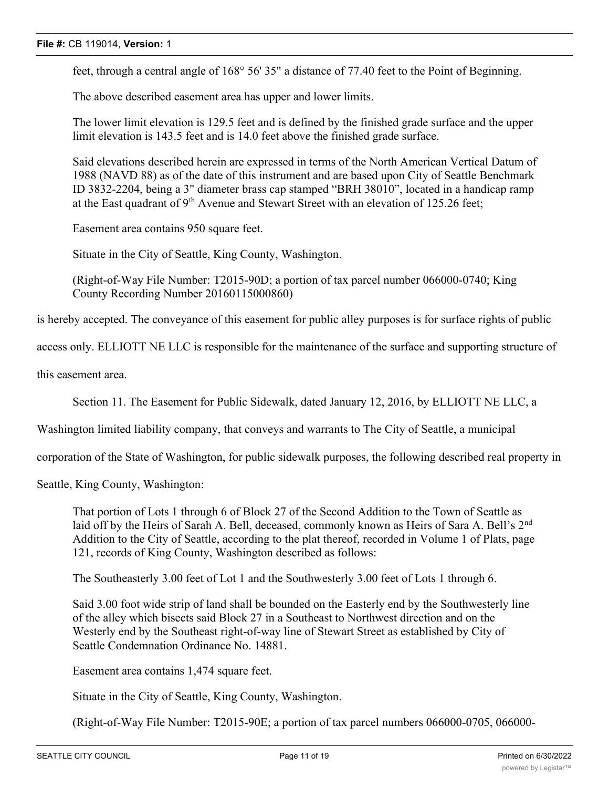feet, through a central angle of 168° 56' 35" a distance of 77.40 feet to the Point of Beginning.

The above described easement area has upper and lower limits.

The lower limit elevation is 129.5 feet and is defined by the finished grade surface and the upper limit elevation is 143.5 feet and is 14.0 feet above the finished grade surface.

Said elevations described herein are expressed in terms of the North American Vertical Datum of 1988 (NAVD 88) as of the date of this instrument and are based upon City of Seattle Benchmark ID 3832-2204, being a 3" diameter brass cap stamped "BRH 38010", located in a handicap ramp at the East quadrant of 9<sup>th</sup> Avenue and Stewart Street with an elevation of 125.26 feet;

Easement area contains 950 square feet.

Situate in the City of Seattle, King County, Washington.

(Right-of-Way File Number: T2015-90D; a portion of tax parcel number 066000-0740; King County Recording Number 20160115000860)

is hereby accepted. The conveyance of this easement for public alley purposes is for surface rights of public

access only. ELLIOTT NE LLC is responsible for the maintenance of the surface and supporting structure of

this easement area.

Section 11. The Easement for Public Sidewalk, dated January 12, 2016, by ELLIOTT NE LLC, a

Washington limited liability company, that conveys and warrants to The City of Seattle, a municipal

corporation of the State of Washington, for public sidewalk purposes, the following described real property in

Seattle, King County, Washington:

That portion of Lots 1 through 6 of Block 27 of the Second Addition to the Town of Seattle as laid off by the Heirs of Sarah A. Bell, deceased, commonly known as Heirs of Sara A. Bell's 2<sup>nd</sup> Addition to the City of Seattle, according to the plat thereof, recorded in Volume 1 of Plats, page 121, records of King County, Washington described as follows:

The Southeasterly 3.00 feet of Lot 1 and the Southwesterly 3.00 feet of Lots 1 through 6.

Said 3.00 foot wide strip of land shall be bounded on the Easterly end by the Southwesterly line of the alley which bisects said Block 27 in a Southeast to Northwest direction and on the Westerly end by the Southeast right-of-way line of Stewart Street as established by City of Seattle Condemnation Ordinance No. 14881.

Easement area contains 1,474 square feet.

Situate in the City of Seattle, King County, Washington.

(Right-of-Way File Number: T2015-90E; a portion of tax parcel numbers 066000-0705, 066000-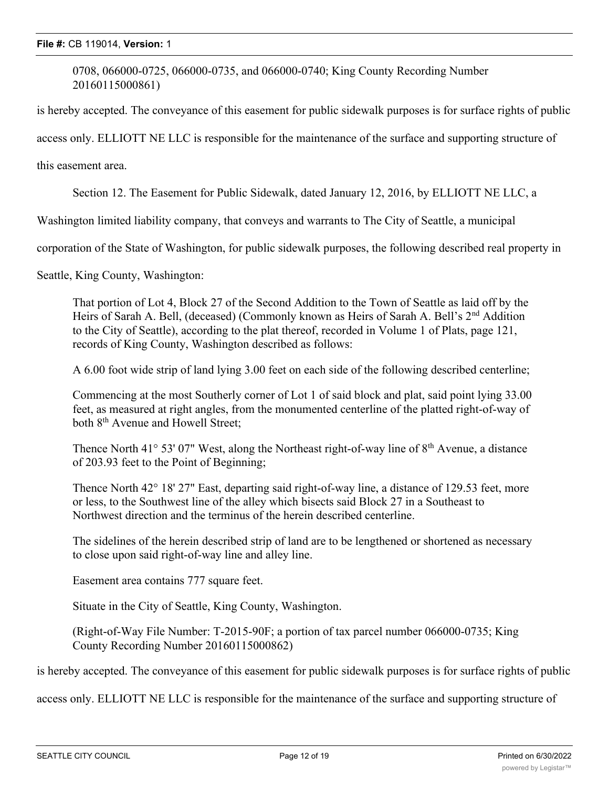0708, 066000-0725, 066000-0735, and 066000-0740; King County Recording Number 20160115000861)

is hereby accepted. The conveyance of this easement for public sidewalk purposes is for surface rights of public

access only. ELLIOTT NE LLC is responsible for the maintenance of the surface and supporting structure of

this easement area.

Section 12. The Easement for Public Sidewalk, dated January 12, 2016, by ELLIOTT NE LLC, a

Washington limited liability company, that conveys and warrants to The City of Seattle, a municipal

corporation of the State of Washington, for public sidewalk purposes, the following described real property in

Seattle, King County, Washington:

That portion of Lot 4, Block 27 of the Second Addition to the Town of Seattle as laid off by the Heirs of Sarah A. Bell, (deceased) (Commonly known as Heirs of Sarah A. Bell's 2<sup>nd</sup> Addition to the City of Seattle), according to the plat thereof, recorded in Volume 1 of Plats, page 121, records of King County, Washington described as follows:

A 6.00 foot wide strip of land lying 3.00 feet on each side of the following described centerline;

Commencing at the most Southerly corner of Lot 1 of said block and plat, said point lying 33.00 feet, as measured at right angles, from the monumented centerline of the platted right-of-way of both 8<sup>th</sup> Avenue and Howell Street:

Thence North 41° 53' 07" West, along the Northeast right-of-way line of  $8<sup>th</sup>$  Avenue, a distance of 203.93 feet to the Point of Beginning;

Thence North 42° 18' 27" East, departing said right-of-way line, a distance of 129.53 feet, more or less, to the Southwest line of the alley which bisects said Block 27 in a Southeast to Northwest direction and the terminus of the herein described centerline.

The sidelines of the herein described strip of land are to be lengthened or shortened as necessary to close upon said right-of-way line and alley line.

Easement area contains 777 square feet.

Situate in the City of Seattle, King County, Washington.

(Right-of-Way File Number: T-2015-90F; a portion of tax parcel number 066000-0735; King County Recording Number 20160115000862)

is hereby accepted. The conveyance of this easement for public sidewalk purposes is for surface rights of public

access only. ELLIOTT NE LLC is responsible for the maintenance of the surface and supporting structure of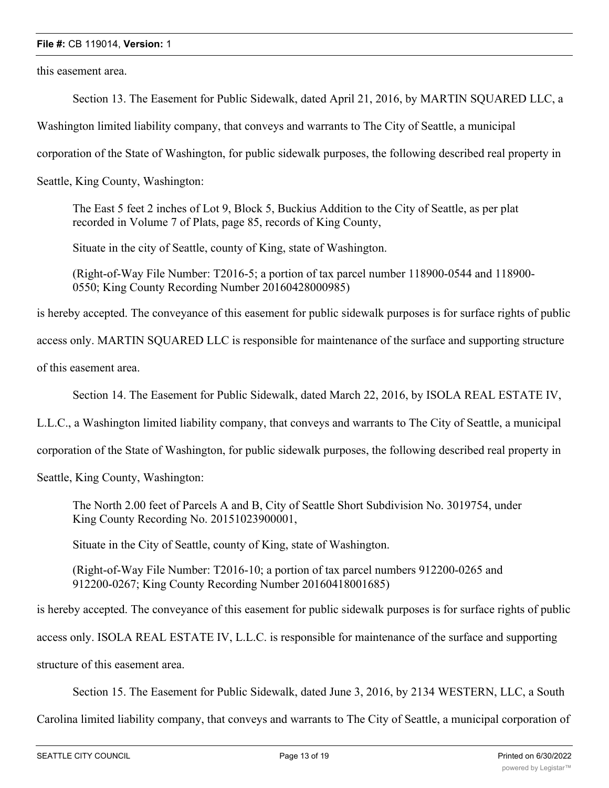this easement area.

Section 13. The Easement for Public Sidewalk, dated April 21, 2016, by MARTIN SQUARED LLC, a

Washington limited liability company, that conveys and warrants to The City of Seattle, a municipal

corporation of the State of Washington, for public sidewalk purposes, the following described real property in

Seattle, King County, Washington:

The East 5 feet 2 inches of Lot 9, Block 5, Buckius Addition to the City of Seattle, as per plat recorded in Volume 7 of Plats, page 85, records of King County,

Situate in the city of Seattle, county of King, state of Washington.

(Right-of-Way File Number: T2016-5; a portion of tax parcel number 118900-0544 and 118900- 0550; King County Recording Number 20160428000985)

is hereby accepted. The conveyance of this easement for public sidewalk purposes is for surface rights of public

access only. MARTIN SQUARED LLC is responsible for maintenance of the surface and supporting structure

of this easement area.

Section 14. The Easement for Public Sidewalk, dated March 22, 2016, by ISOLA REAL ESTATE IV,

L.L.C., a Washington limited liability company, that conveys and warrants to The City of Seattle, a municipal

corporation of the State of Washington, for public sidewalk purposes, the following described real property in

Seattle, King County, Washington:

The North 2.00 feet of Parcels A and B, City of Seattle Short Subdivision No. 3019754, under King County Recording No. 20151023900001,

Situate in the City of Seattle, county of King, state of Washington.

(Right-of-Way File Number: T2016-10; a portion of tax parcel numbers 912200-0265 and 912200-0267; King County Recording Number 20160418001685)

is hereby accepted. The conveyance of this easement for public sidewalk purposes is for surface rights of public

access only. ISOLA REAL ESTATE IV, L.L.C. is responsible for maintenance of the surface and supporting

structure of this easement area.

Section 15. The Easement for Public Sidewalk, dated June 3, 2016, by 2134 WESTERN, LLC, a South

Carolina limited liability company, that conveys and warrants to The City of Seattle, a municipal corporation of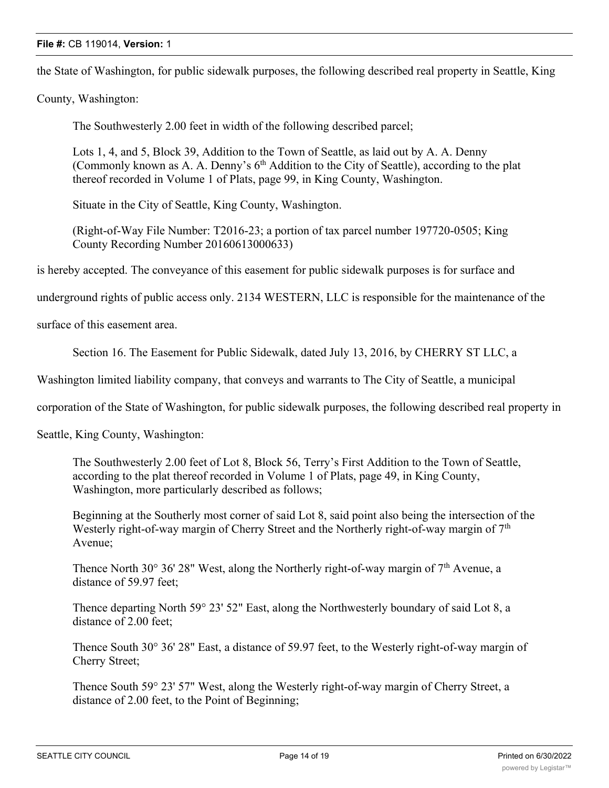the State of Washington, for public sidewalk purposes, the following described real property in Seattle, King

County, Washington:

The Southwesterly 2.00 feet in width of the following described parcel;

Lots 1, 4, and 5, Block 39, Addition to the Town of Seattle, as laid out by A. A. Denny (Commonly known as A. A. Denny's  $6<sup>th</sup>$  Addition to the City of Seattle), according to the plat thereof recorded in Volume 1 of Plats, page 99, in King County, Washington.

Situate in the City of Seattle, King County, Washington.

(Right-of-Way File Number: T2016-23; a portion of tax parcel number 197720-0505; King County Recording Number 20160613000633)

is hereby accepted. The conveyance of this easement for public sidewalk purposes is for surface and

underground rights of public access only. 2134 WESTERN, LLC is responsible for the maintenance of the

surface of this easement area.

Section 16. The Easement for Public Sidewalk, dated July 13, 2016, by CHERRY ST LLC, a

Washington limited liability company, that conveys and warrants to The City of Seattle, a municipal

corporation of the State of Washington, for public sidewalk purposes, the following described real property in

Seattle, King County, Washington:

The Southwesterly 2.00 feet of Lot 8, Block 56, Terry's First Addition to the Town of Seattle, according to the plat thereof recorded in Volume 1 of Plats, page 49, in King County, Washington, more particularly described as follows;

Beginning at the Southerly most corner of said Lot 8, said point also being the intersection of the Westerly right-of-way margin of Cherry Street and the Northerly right-of-way margin of  $7<sup>th</sup>$ Avenue;

Thence North 30 $\degree$  36' 28" West, along the Northerly right-of-way margin of  $7<sup>th</sup>$  Avenue, a distance of 59.97 feet;

Thence departing North 59° 23' 52" East, along the Northwesterly boundary of said Lot 8, a distance of 2.00 feet;

Thence South 30° 36' 28" East, a distance of 59.97 feet, to the Westerly right-of-way margin of Cherry Street;

Thence South 59° 23' 57" West, along the Westerly right-of-way margin of Cherry Street, a distance of 2.00 feet, to the Point of Beginning;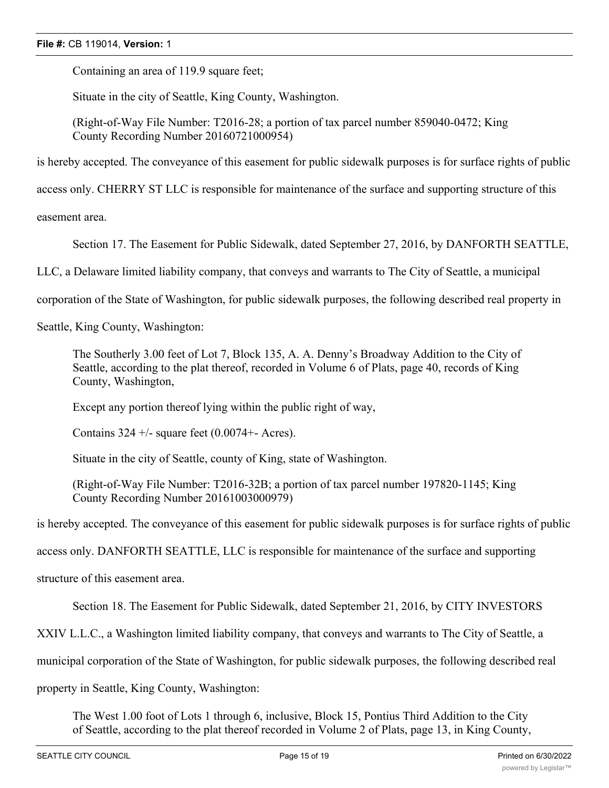Containing an area of 119.9 square feet;

Situate in the city of Seattle, King County, Washington.

(Right-of-Way File Number: T2016-28; a portion of tax parcel number 859040-0472; King County Recording Number 20160721000954)

is hereby accepted. The conveyance of this easement for public sidewalk purposes is for surface rights of public

access only. CHERRY ST LLC is responsible for maintenance of the surface and supporting structure of this

easement area.

Section 17. The Easement for Public Sidewalk, dated September 27, 2016, by DANFORTH SEATTLE,

LLC, a Delaware limited liability company, that conveys and warrants to The City of Seattle, a municipal

corporation of the State of Washington, for public sidewalk purposes, the following described real property in

Seattle, King County, Washington:

The Southerly 3.00 feet of Lot 7, Block 135, A. A. Denny's Broadway Addition to the City of Seattle, according to the plat thereof, recorded in Volume 6 of Plats, page 40, records of King County, Washington,

Except any portion thereof lying within the public right of way,

Contains  $324 +$ /- square feet (0.0074+- Acres).

Situate in the city of Seattle, county of King, state of Washington.

(Right-of-Way File Number: T2016-32B; a portion of tax parcel number 197820-1145; King County Recording Number 20161003000979)

is hereby accepted. The conveyance of this easement for public sidewalk purposes is for surface rights of public

access only. DANFORTH SEATTLE, LLC is responsible for maintenance of the surface and supporting

structure of this easement area.

Section 18. The Easement for Public Sidewalk, dated September 21, 2016, by CITY INVESTORS

XXIV L.L.C., a Washington limited liability company, that conveys and warrants to The City of Seattle, a

municipal corporation of the State of Washington, for public sidewalk purposes, the following described real

property in Seattle, King County, Washington:

The West 1.00 foot of Lots 1 through 6, inclusive, Block 15, Pontius Third Addition to the City of Seattle, according to the plat thereof recorded in Volume 2 of Plats, page 13, in King County,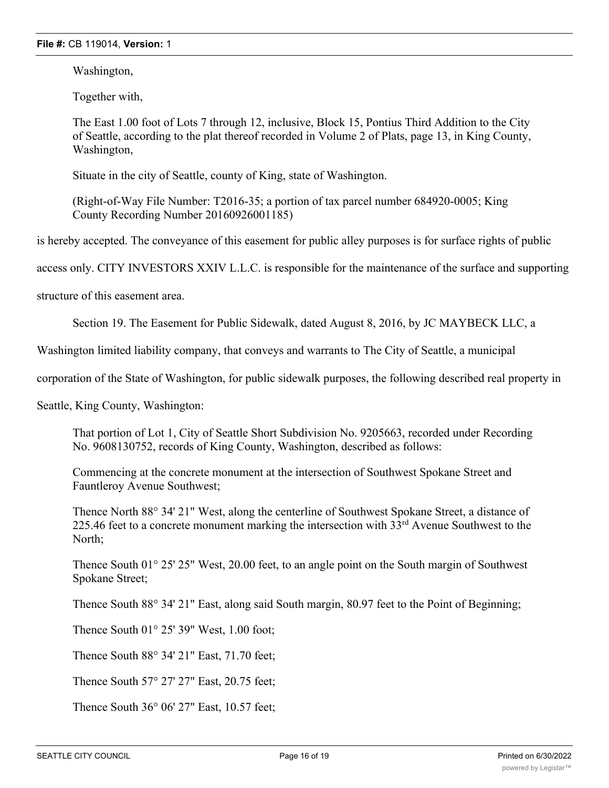Washington,

Together with,

The East 1.00 foot of Lots 7 through 12, inclusive, Block 15, Pontius Third Addition to the City of Seattle, according to the plat thereof recorded in Volume 2 of Plats, page 13, in King County, Washington,

Situate in the city of Seattle, county of King, state of Washington.

(Right-of-Way File Number: T2016-35; a portion of tax parcel number 684920-0005; King County Recording Number 20160926001185)

is hereby accepted. The conveyance of this easement for public alley purposes is for surface rights of public

access only. CITY INVESTORS XXIV L.L.C. is responsible for the maintenance of the surface and supporting

structure of this easement area.

Section 19. The Easement for Public Sidewalk, dated August 8, 2016, by JC MAYBECK LLC, a

Washington limited liability company, that conveys and warrants to The City of Seattle, a municipal

corporation of the State of Washington, for public sidewalk purposes, the following described real property in

Seattle, King County, Washington:

That portion of Lot 1, City of Seattle Short Subdivision No. 9205663, recorded under Recording No. 9608130752, records of King County, Washington, described as follows:

Commencing at the concrete monument at the intersection of Southwest Spokane Street and Fauntleroy Avenue Southwest;

Thence North 88° 34' 21" West, along the centerline of Southwest Spokane Street, a distance of 225.46 feet to a concrete monument marking the intersection with  $33<sup>rd</sup>$  Avenue Southwest to the North;

Thence South 01° 25' 25" West, 20.00 feet, to an angle point on the South margin of Southwest Spokane Street;

Thence South 88° 34′ 21″ East, along said South margin, 80.97 feet to the Point of Beginning;

Thence South 01° 25' 39" West, 1.00 foot;

Thence South 88° 34' 21" East, 71.70 feet;

Thence South 57° 27' 27" East, 20.75 feet;

Thence South 36° 06' 27" East, 10.57 feet;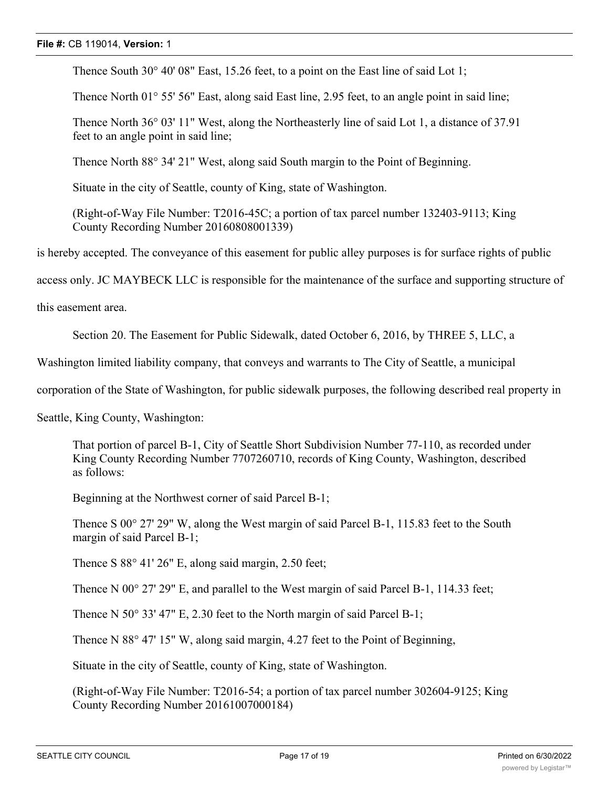Thence South 30° 40' 08" East, 15.26 feet, to a point on the East line of said Lot 1;

Thence North 01° 55' 56" East, along said East line, 2.95 feet, to an angle point in said line;

Thence North 36° 03' 11" West, along the Northeasterly line of said Lot 1, a distance of 37.91 feet to an angle point in said line;

Thence North 88° 34' 21" West, along said South margin to the Point of Beginning.

Situate in the city of Seattle, county of King, state of Washington.

(Right-of-Way File Number: T2016-45C; a portion of tax parcel number 132403-9113; King County Recording Number 20160808001339)

is hereby accepted. The conveyance of this easement for public alley purposes is for surface rights of public

access only. JC MAYBECK LLC is responsible for the maintenance of the surface and supporting structure of

this easement area.

Section 20. The Easement for Public Sidewalk, dated October 6, 2016, by THREE 5, LLC, a

Washington limited liability company, that conveys and warrants to The City of Seattle, a municipal

corporation of the State of Washington, for public sidewalk purposes, the following described real property in

Seattle, King County, Washington:

That portion of parcel B-1, City of Seattle Short Subdivision Number 77-110, as recorded under King County Recording Number 7707260710, records of King County, Washington, described as follows:

Beginning at the Northwest corner of said Parcel B-1;

Thence S 00° 27' 29" W, along the West margin of said Parcel B-1, 115.83 feet to the South margin of said Parcel B-1;

Thence S 88° 41' 26" E, along said margin, 2.50 feet;

Thence N 00° 27' 29" E, and parallel to the West margin of said Parcel B-1, 114.33 feet;

Thence N 50° 33' 47" E, 2.30 feet to the North margin of said Parcel B-1;

Thence N 88° 47' 15" W, along said margin, 4.27 feet to the Point of Beginning,

Situate in the city of Seattle, county of King, state of Washington.

(Right-of-Way File Number: T2016-54; a portion of tax parcel number 302604-9125; King County Recording Number 20161007000184)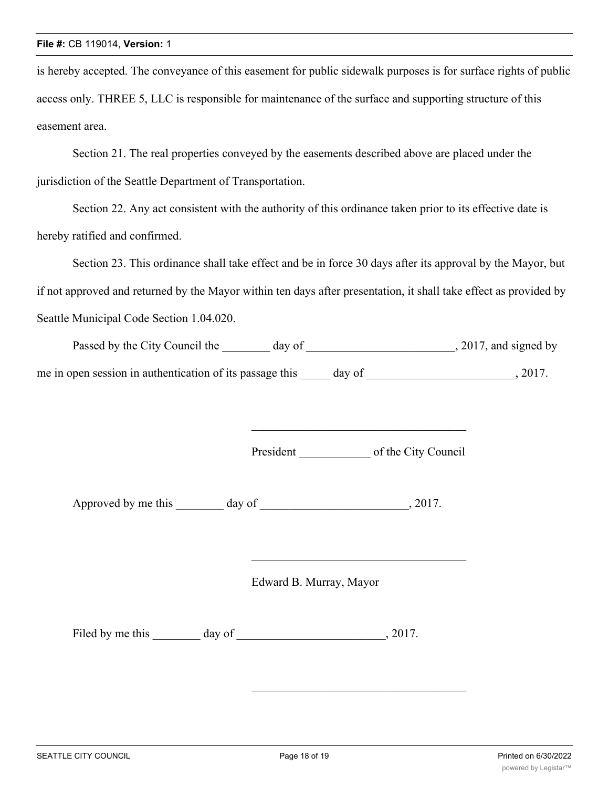is hereby accepted. The conveyance of this easement for public sidewalk purposes is for surface rights of public access only. THREE 5, LLC is responsible for maintenance of the surface and supporting structure of this easement area.

Section 21. The real properties conveyed by the easements described above are placed under the jurisdiction of the Seattle Department of Transportation.

Section 22. Any act consistent with the authority of this ordinance taken prior to its effective date is hereby ratified and confirmed.

Section 23. This ordinance shall take effect and be in force 30 days after its approval by the Mayor, but if not approved and returned by the Mayor within ten days after presentation, it shall take effect as provided by Seattle Municipal Code Section 1.04.020.

| Passed by the City Council the                           | day of |        | , 2017, and signed by |
|----------------------------------------------------------|--------|--------|-----------------------|
| me in open session in authentication of its passage this |        | day of | 2017.                 |

President of the City Council

Approved by me this day of  $\qquad \qquad$ , 2017.

Edward B. Murray, Mayor

Filed by me this day of 3017.